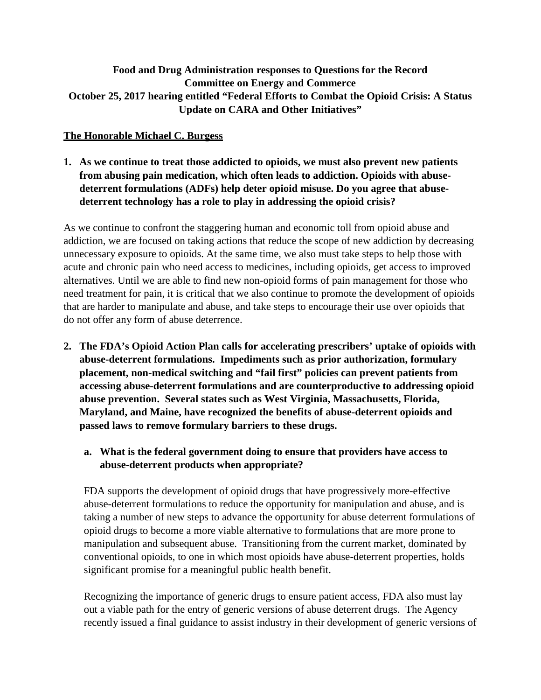# **Food and Drug Administration responses to Questions for the Record Committee on Energy and Commerce October 25, 2017 hearing entitled "Federal Efforts to Combat the Opioid Crisis: A Status Update on CARA and Other Initiatives"**

### **The Honorable Michael C. Burgess**

**1. As we continue to treat those addicted to opioids, we must also prevent new patients from abusing pain medication, which often leads to addiction. Opioids with abusedeterrent formulations (ADFs) help deter opioid misuse. Do you agree that abusedeterrent technology has a role to play in addressing the opioid crisis?**

As we continue to confront the staggering human and economic toll from opioid abuse and addiction, we are focused on taking actions that reduce the scope of new addiction by decreasing unnecessary exposure to opioids. At the same time, we also must take steps to help those with acute and chronic pain who need access to medicines, including opioids, get access to improved alternatives. Until we are able to find new non-opioid forms of pain management for those who need treatment for pain, it is critical that we also continue to promote the development of opioids that are harder to manipulate and abuse, and take steps to encourage their use over opioids that do not offer any form of abuse deterrence.

- **2. The FDA's Opioid Action Plan calls for accelerating prescribers' uptake of opioids with abuse-deterrent formulations. Impediments such as prior authorization, formulary placement, non-medical switching and "fail first" policies can prevent patients from accessing abuse-deterrent formulations and are counterproductive to addressing opioid abuse prevention. Several states such as West Virginia, Massachusetts, Florida, Maryland, and Maine, have recognized the benefits of abuse-deterrent opioids and passed laws to remove formulary barriers to these drugs.**
	- **a. What is the federal government doing to ensure that providers have access to abuse-deterrent products when appropriate?**

FDA supports the development of opioid drugs that have progressively more-effective abuse-deterrent formulations to reduce the opportunity for manipulation and abuse, and is taking a number of new steps to advance the opportunity for abuse deterrent formulations of opioid drugs to become a more viable alternative to formulations that are more prone to manipulation and subsequent abuse. Transitioning from the current market, dominated by conventional opioids, to one in which most opioids have abuse-deterrent properties, holds significant promise for a meaningful public health benefit.

Recognizing the importance of generic drugs to ensure patient access, FDA also must lay out a viable path for the entry of generic versions of abuse deterrent drugs. The Agency recently issued a final guidance to assist industry in their development of generic versions of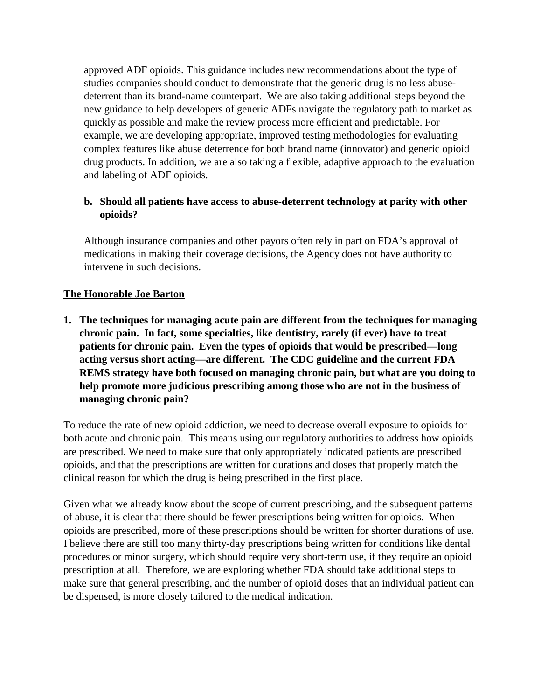approved ADF opioids. This guidance includes new recommendations about the type of studies companies should conduct to demonstrate that the generic drug is no less abusedeterrent than its brand-name counterpart. We are also taking additional steps beyond the new guidance to help developers of generic ADFs navigate the regulatory path to market as quickly as possible and make the review process more efficient and predictable. For example, we are developing appropriate, improved testing methodologies for evaluating complex features like abuse deterrence for both brand name (innovator) and generic opioid drug products. In addition, we are also taking a flexible, adaptive approach to the evaluation and labeling of ADF opioids.

## **b. Should all patients have access to abuse-deterrent technology at parity with other opioids?**

Although insurance companies and other payors often rely in part on FDA's approval of medications in making their coverage decisions, the Agency does not have authority to intervene in such decisions.

# **The Honorable Joe Barton**

**1. The techniques for managing acute pain are different from the techniques for managing chronic pain. In fact, some specialties, like dentistry, rarely (if ever) have to treat patients for chronic pain. Even the types of opioids that would be prescribed—long acting versus short acting—are different. The CDC guideline and the current FDA REMS strategy have both focused on managing chronic pain, but what are you doing to help promote more judicious prescribing among those who are not in the business of managing chronic pain?**

To reduce the rate of new opioid addiction, we need to decrease overall exposure to opioids for both acute and chronic pain. This means using our regulatory authorities to address how opioids are prescribed. We need to make sure that only appropriately indicated patients are prescribed opioids, and that the prescriptions are written for durations and doses that properly match the clinical reason for which the drug is being prescribed in the first place.

Given what we already know about the scope of current prescribing, and the subsequent patterns of abuse, it is clear that there should be fewer prescriptions being written for opioids. When opioids are prescribed, more of these prescriptions should be written for shorter durations of use. I believe there are still too many thirty-day prescriptions being written for conditions like dental procedures or minor surgery, which should require very short-term use, if they require an opioid prescription at all. Therefore, we are exploring whether FDA should take additional steps to make sure that general prescribing, and the number of opioid doses that an individual patient can be dispensed, is more closely tailored to the medical indication.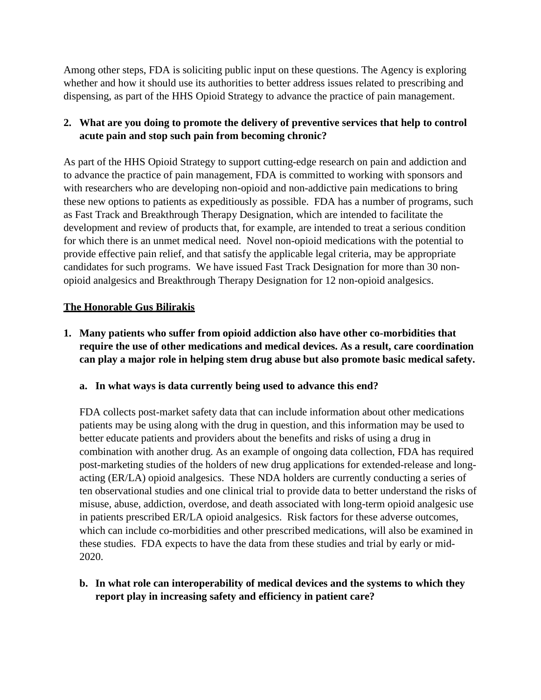Among other steps, FDA is soliciting public input on these questions. The Agency is exploring whether and how it should use its authorities to better address issues related to prescribing and dispensing, as part of the HHS Opioid Strategy to advance the practice of pain management.

# **2. What are you doing to promote the delivery of preventive services that help to control acute pain and stop such pain from becoming chronic?**

As part of the HHS Opioid Strategy to support cutting-edge research on pain and addiction and to advance the practice of pain management, FDA is committed to working with sponsors and with researchers who are developing non-opioid and non-addictive pain medications to bring these new options to patients as expeditiously as possible. FDA has a number of programs, such as Fast Track and Breakthrough Therapy Designation, which are intended to facilitate the development and review of products that, for example, are intended to treat a serious condition for which there is an unmet medical need. Novel non-opioid medications with the potential to provide effective pain relief, and that satisfy the applicable legal criteria, may be appropriate candidates for such programs. We have issued Fast Track Designation for more than 30 nonopioid analgesics and Breakthrough Therapy Designation for 12 non-opioid analgesics.

# **The Honorable Gus Bilirakis**

- **1. Many patients who suffer from opioid addiction also have other co-morbidities that require the use of other medications and medical devices. As a result, care coordination can play a major role in helping stem drug abuse but also promote basic medical safety.**
	- **a. In what ways is data currently being used to advance this end?**

FDA collects post-market safety data that can include information about other medications patients may be using along with the drug in question, and this information may be used to better educate patients and providers about the benefits and risks of using a drug in combination with another drug. As an example of ongoing data collection, FDA has required post-marketing studies of the holders of new drug applications for extended-release and longacting (ER/LA) opioid analgesics. These NDA holders are currently conducting a series of ten observational studies and one clinical trial to provide data to better understand the risks of misuse, abuse, addiction, overdose, and death associated with long-term opioid analgesic use in patients prescribed ER/LA opioid analgesics. Risk factors for these adverse outcomes, which can include co-morbidities and other prescribed medications, will also be examined in these studies. FDA expects to have the data from these studies and trial by early or mid-2020.

**b. In what role can interoperability of medical devices and the systems to which they report play in increasing safety and efficiency in patient care?**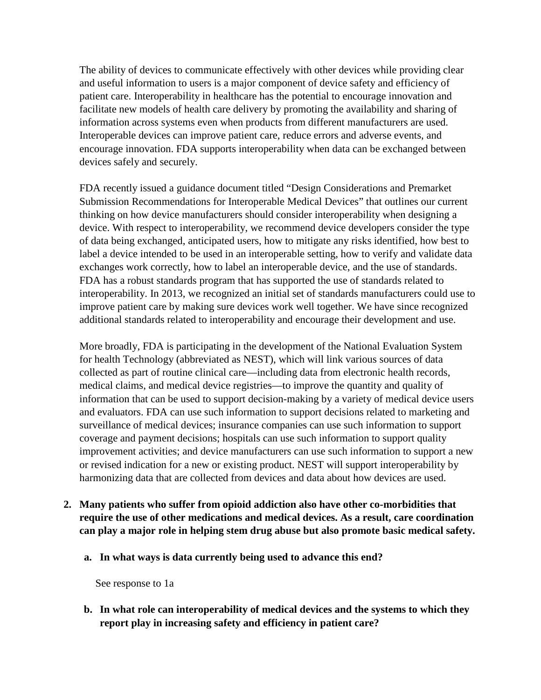The ability of devices to communicate effectively with other devices while providing clear and useful information to users is a major component of device safety and efficiency of patient care. Interoperability in healthcare has the potential to encourage innovation and facilitate new models of health care delivery by promoting the availability and sharing of information across systems even when products from different manufacturers are used. Interoperable devices can improve patient care, reduce errors and adverse events, and encourage innovation. FDA supports interoperability when data can be exchanged between devices safely and securely.

FDA recently issued a guidance document titled "Design Considerations and Premarket Submission Recommendations for Interoperable Medical Devices" that outlines our current thinking on how device manufacturers should consider interoperability when designing a device. With respect to interoperability, we recommend device developers consider the type of data being exchanged, anticipated users, how to mitigate any risks identified, how best to label a device intended to be used in an interoperable setting, how to verify and validate data exchanges work correctly, how to label an interoperable device, and the use of standards. FDA has a robust standards program that has supported the use of standards related to interoperability. In 2013, we recognized an initial set of standards manufacturers could use to improve patient care by making sure devices work well together. We have since recognized additional standards related to interoperability and encourage their development and use.

More broadly, FDA is participating in the development of the National Evaluation System for health Technology (abbreviated as NEST), which will link various sources of data collected as part of routine clinical care—including data from electronic health records, medical claims, and medical device registries—to improve the quantity and quality of information that can be used to support decision-making by a variety of medical device users and evaluators. FDA can use such information to support decisions related to marketing and surveillance of medical devices; insurance companies can use such information to support coverage and payment decisions; hospitals can use such information to support quality improvement activities; and device manufacturers can use such information to support a new or revised indication for a new or existing product. NEST will support interoperability by harmonizing data that are collected from devices and data about how devices are used.

- **2. Many patients who suffer from opioid addiction also have other co-morbidities that require the use of other medications and medical devices. As a result, care coordination can play a major role in helping stem drug abuse but also promote basic medical safety.**
	- **a. In what ways is data currently being used to advance this end?**

See response to 1a

**b. In what role can interoperability of medical devices and the systems to which they report play in increasing safety and efficiency in patient care?**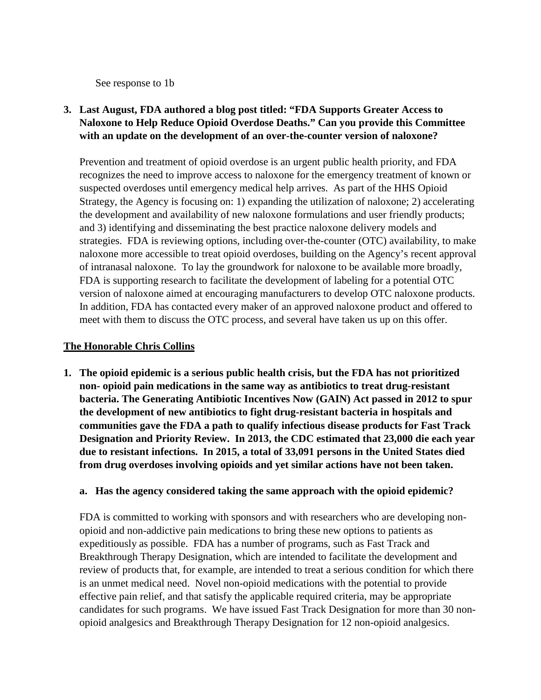See response to 1b

# **3. Last August, FDA authored a blog post titled: "FDA Supports Greater Access to Naloxone to Help Reduce Opioid Overdose Deaths." Can you provide this Committee with an update on the development of an over-the-counter version of naloxone?**

Prevention and treatment of opioid overdose is an urgent public health priority, and FDA recognizes the need to improve access to naloxone for the emergency treatment of known or suspected overdoses until emergency medical help arrives. As part of the HHS Opioid Strategy, the Agency is focusing on: 1) expanding the utilization of naloxone; 2) accelerating the development and availability of new naloxone formulations and user friendly products; and 3) identifying and disseminating the best practice naloxone delivery models and strategies. FDA is reviewing options, including over-the-counter (OTC) availability, to make naloxone more accessible to treat opioid overdoses, building on the Agency's recent approval of intranasal naloxone. To lay the groundwork for naloxone to be available more broadly, FDA is supporting research to facilitate the development of labeling for a potential OTC version of naloxone aimed at encouraging manufacturers to develop OTC naloxone products. In addition, FDA has contacted every maker of an approved naloxone product and offered to meet with them to discuss the OTC process, and several have taken us up on this offer.

### **The Honorable Chris Collins**

**1. The opioid epidemic is a serious public health crisis, but the FDA has not prioritized non- opioid pain medications in the same way as antibiotics to treat drug-resistant bacteria. The Generating Antibiotic Incentives Now (GAIN) Act passed in 2012 to spur the development of new antibiotics to fight drug-resistant bacteria in hospitals and communities gave the FDA a path to qualify infectious disease products for Fast Track Designation and Priority Review. In 2013, the CDC estimated that 23,000 die each year due to resistant infections. In 2015, a total of 33,091 persons in the United States died from drug overdoses involving opioids and yet similar actions have not been taken.**

#### **a. Has the agency considered taking the same approach with the opioid epidemic?**

FDA is committed to working with sponsors and with researchers who are developing nonopioid and non-addictive pain medications to bring these new options to patients as expeditiously as possible. FDA has a number of programs, such as Fast Track and Breakthrough Therapy Designation, which are intended to facilitate the development and review of products that, for example, are intended to treat a serious condition for which there is an unmet medical need. Novel non-opioid medications with the potential to provide effective pain relief, and that satisfy the applicable required criteria, may be appropriate candidates for such programs. We have issued Fast Track Designation for more than 30 nonopioid analgesics and Breakthrough Therapy Designation for 12 non-opioid analgesics.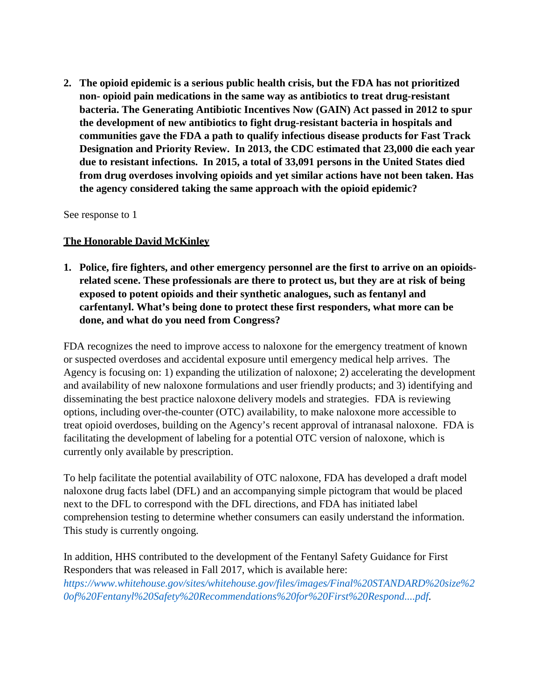**2. The opioid epidemic is a serious public health crisis, but the FDA has not prioritized non- opioid pain medications in the same way as antibiotics to treat drug-resistant bacteria. The Generating Antibiotic Incentives Now (GAIN) Act passed in 2012 to spur the development of new antibiotics to fight drug-resistant bacteria in hospitals and communities gave the FDA a path to qualify infectious disease products for Fast Track Designation and Priority Review. In 2013, the CDC estimated that 23,000 die each year due to resistant infections. In 2015, a total of 33,091 persons in the United States died from drug overdoses involving opioids and yet similar actions have not been taken. Has the agency considered taking the same approach with the opioid epidemic?**

See response to 1

#### **The Honorable David McKinley**

**1. Police, fire fighters, and other emergency personnel are the first to arrive on an opioidsrelated scene. These professionals are there to protect us, but they are at risk of being exposed to potent opioids and their synthetic analogues, such as fentanyl and carfentanyl. What's being done to protect these first responders, what more can be done, and what do you need from Congress?**

FDA recognizes the need to improve access to naloxone for the emergency treatment of known or suspected overdoses and accidental exposure until emergency medical help arrives. The Agency is focusing on: 1) expanding the utilization of naloxone; 2) accelerating the development and availability of new naloxone formulations and user friendly products; and 3) identifying and disseminating the best practice naloxone delivery models and strategies. FDA is reviewing options, including over-the-counter (OTC) availability, to make naloxone more accessible to treat opioid overdoses, building on the Agency's recent approval of intranasal naloxone. FDA is facilitating the development of labeling for a potential OTC version of naloxone, which is currently only available by prescription.

To help facilitate the potential availability of OTC naloxone, FDA has developed a draft model naloxone drug facts label (DFL) and an accompanying simple pictogram that would be placed next to the DFL to correspond with the DFL directions, and FDA has initiated label comprehension testing to determine whether consumers can easily understand the information. This study is currently ongoing.

In addition, HHS contributed to the development of the Fentanyl Safety Guidance for First Responders that was released in Fall 2017, which is available here: *[https://www.whitehouse.gov/sites/whitehouse.gov/files/images/Final%20STANDARD%20size%2](https://www.whitehouse.gov/sites/whitehouse.gov/files/images/Final%20STANDARD%20size%20of%20Fentanyl%20Safety%20Recommendations%20for%20First%20Respond....pdf) [0of%20Fentanyl%20Safety%20Recommendations%20for%20First%20Respond....pdf.](https://www.whitehouse.gov/sites/whitehouse.gov/files/images/Final%20STANDARD%20size%20of%20Fentanyl%20Safety%20Recommendations%20for%20First%20Respond....pdf)*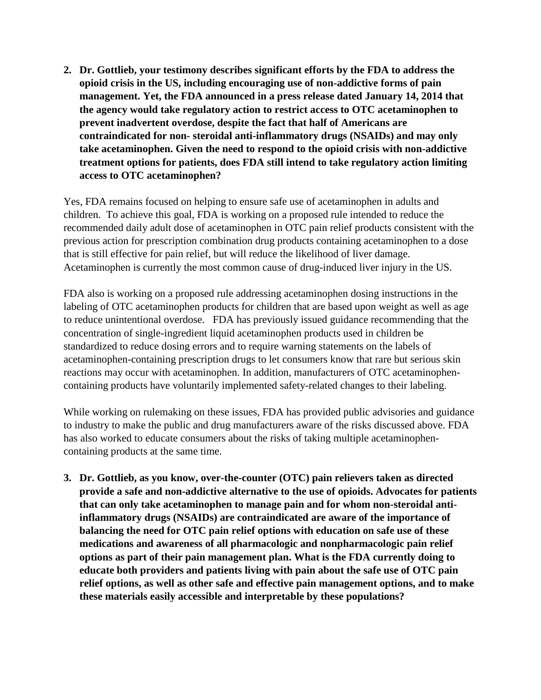**2. Dr. Gottlieb, your testimony describes significant efforts by the FDA to address the opioid crisis in the US, including encouraging use of non-addictive forms of pain management. Yet, the FDA announced in a press release dated January 14, 2014 that the agency would take regulatory action to restrict access to OTC acetaminophen to prevent inadvertent overdose, despite the fact that half of Americans are contraindicated for non- steroidal anti-inflammatory drugs (NSAIDs) and may only take acetaminophen. Given the need to respond to the opioid crisis with non-addictive treatment options for patients, does FDA still intend to take regulatory action limiting access to OTC acetaminophen?**

Yes, FDA remains focused on helping to ensure safe use of acetaminophen in adults and children. To achieve this goal, FDA is working on a proposed rule intended to reduce the recommended daily adult dose of acetaminophen in OTC pain relief products consistent with the previous action for prescription combination drug products containing acetaminophen to a dose that is still effective for pain relief, but will reduce the likelihood of liver damage. Acetaminophen is currently the most common cause of drug-induced liver injury in the US.

FDA also is working on a proposed rule addressing acetaminophen dosing instructions in the labeling of OTC acetaminophen products for children that are based upon weight as well as age to reduce unintentional overdose. FDA has previously issued guidance recommending that the concentration of single-ingredient liquid acetaminophen products used in children be standardized to reduce dosing errors and to require warning statements on the labels of acetaminophen-containing prescription drugs to let consumers know that rare but serious skin reactions may occur with acetaminophen. In addition, manufacturers of OTC acetaminophencontaining products have voluntarily implemented safety-related changes to their labeling.

While working on rulemaking on these issues, FDA has provided public advisories and guidance to industry to make the public and drug manufacturers aware of the risks discussed above. FDA has also worked to educate consumers about the risks of taking multiple acetaminophencontaining products at the same time.

**3. Dr. Gottlieb, as you know, over-the-counter (OTC) pain relievers taken as directed provide a safe and non-addictive alternative to the use of opioids. Advocates for patients that can only take acetaminophen to manage pain and for whom non-steroidal antiinflammatory drugs (NSAIDs) are contraindicated are aware of the importance of balancing the need for OTC pain relief options with education on safe use of these medications and awareness of all pharmacologic and nonpharmacologic pain relief options as part of their pain management plan. What is the FDA currently doing to educate both providers and patients living with pain about the safe use of OTC pain relief options, as well as other safe and effective pain management options, and to make these materials easily accessible and interpretable by these populations?**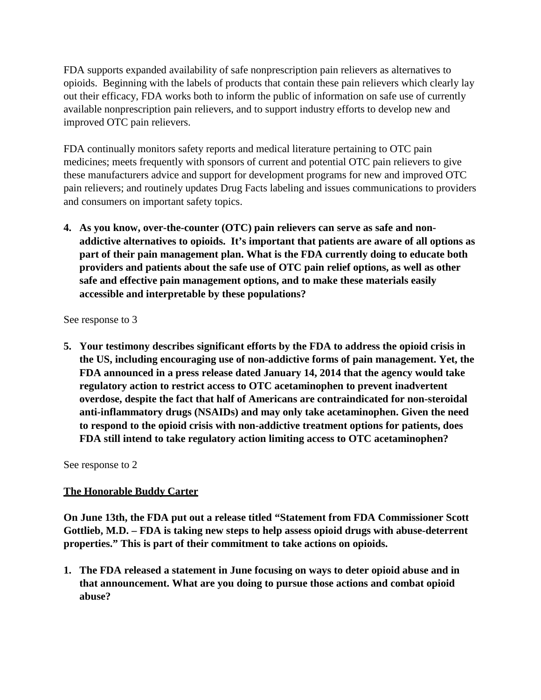FDA supports expanded availability of safe nonprescription pain relievers as alternatives to opioids. Beginning with the labels of products that contain these pain relievers which clearly lay out their efficacy, FDA works both to inform the public of information on safe use of currently available nonprescription pain relievers, and to support industry efforts to develop new and improved OTC pain relievers.

FDA continually monitors safety reports and medical literature pertaining to OTC pain medicines; meets frequently with sponsors of current and potential OTC pain relievers to give these manufacturers advice and support for development programs for new and improved OTC pain relievers; and routinely updates Drug Facts labeling and issues communications to providers and consumers on important safety topics.

**4. As you know, over-the-counter (OTC) pain relievers can serve as safe and nonaddictive alternatives to opioids. It's important that patients are aware of all options as part of their pain management plan. What is the FDA currently doing to educate both providers and patients about the safe use of OTC pain relief options, as well as other safe and effective pain management options, and to make these materials easily accessible and interpretable by these populations?**

See response to 3

**5. Your testimony describes significant efforts by the FDA to address the opioid crisis in the US, including encouraging use of non-addictive forms of pain management. Yet, the FDA announced in a press release dated January 14, 2014 that the agency would take regulatory action to restrict access to OTC acetaminophen to prevent inadvertent overdose, despite the fact that half of Americans are contraindicated for non-steroidal anti-inflammatory drugs (NSAIDs) and may only take acetaminophen. Given the need to respond to the opioid crisis with non-addictive treatment options for patients, does FDA still intend to take regulatory action limiting access to OTC acetaminophen?**

See response to 2

# **The Honorable Buddy Carter**

**On June 13th, the FDA put out a release titled "Statement from FDA Commissioner Scott Gottlieb, M.D. – FDA is taking new steps to help assess opioid drugs with abuse-deterrent properties." This is part of their commitment to take actions on opioids.**

**1. The FDA released a statement in June focusing on ways to deter opioid abuse and in that announcement. What are you doing to pursue those actions and combat opioid abuse?**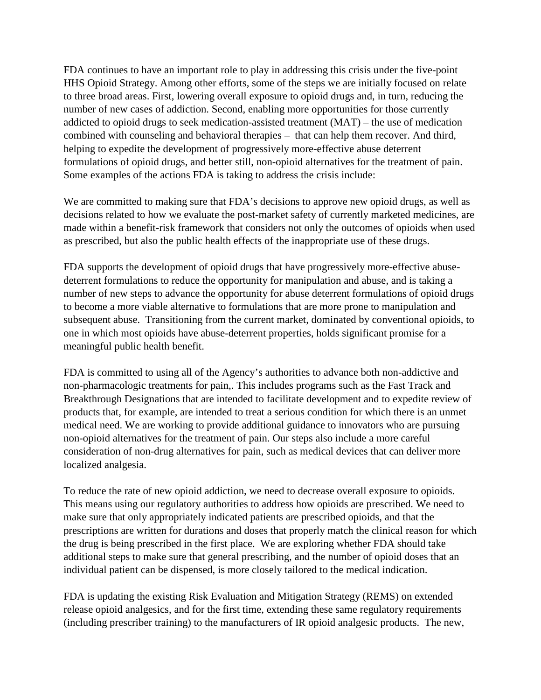FDA continues to have an important role to play in addressing this crisis under the five-point HHS Opioid Strategy. Among other efforts, some of the steps we are initially focused on relate to three broad areas. First, lowering overall exposure to opioid drugs and, in turn, reducing the number of new cases of addiction. Second, enabling more opportunities for those currently addicted to opioid drugs to seek medication-assisted treatment (MAT) – the use of medication combined with counseling and behavioral therapies – that can help them recover. And third, helping to expedite the development of progressively more-effective abuse deterrent formulations of opioid drugs, and better still, non-opioid alternatives for the treatment of pain. Some examples of the actions FDA is taking to address the crisis include:

We are committed to making sure that FDA's decisions to approve new opioid drugs, as well as decisions related to how we evaluate the post-market safety of currently marketed medicines, are made within a benefit-risk framework that considers not only the outcomes of opioids when used as prescribed, but also the public health effects of the inappropriate use of these drugs.

FDA supports the development of opioid drugs that have progressively more-effective abusedeterrent formulations to reduce the opportunity for manipulation and abuse, and is taking a number of new steps to advance the opportunity for abuse deterrent formulations of opioid drugs to become a more viable alternative to formulations that are more prone to manipulation and subsequent abuse. Transitioning from the current market, dominated by conventional opioids, to one in which most opioids have abuse-deterrent properties, holds significant promise for a meaningful public health benefit.

FDA is committed to using all of the Agency's authorities to advance both non-addictive and non-pharmacologic treatments for pain,. This includes programs such as the Fast Track and Breakthrough Designations that are intended to facilitate development and to expedite review of products that, for example, are intended to treat a serious condition for which there is an unmet medical need. We are working to provide additional guidance to innovators who are pursuing non-opioid alternatives for the treatment of pain. Our steps also include a more careful consideration of non-drug alternatives for pain, such as medical devices that can deliver more localized analgesia.

To reduce the rate of new opioid addiction, we need to decrease overall exposure to opioids. This means using our regulatory authorities to address how opioids are prescribed. We need to make sure that only appropriately indicated patients are prescribed opioids, and that the prescriptions are written for durations and doses that properly match the clinical reason for which the drug is being prescribed in the first place. We are exploring whether FDA should take additional steps to make sure that general prescribing, and the number of opioid doses that an individual patient can be dispensed, is more closely tailored to the medical indication.

FDA is updating the existing Risk Evaluation and Mitigation Strategy (REMS) on extended release opioid analgesics, and for the first time, extending these same regulatory requirements (including prescriber training) to the manufacturers of IR opioid analgesic products. The new,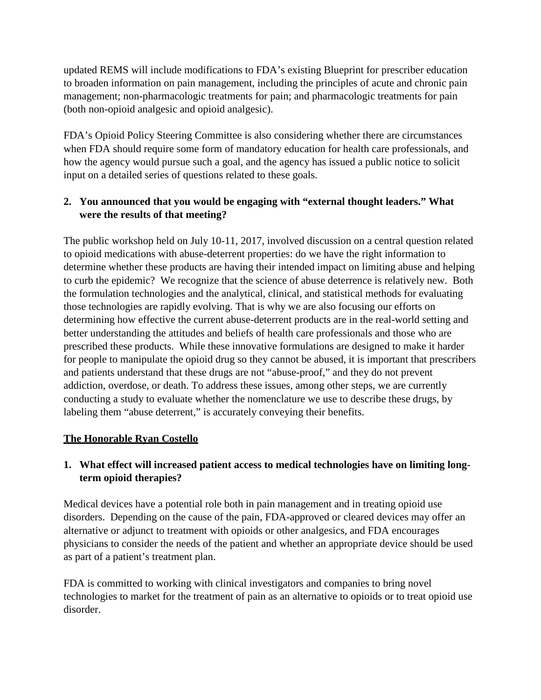updated REMS will include modifications to FDA's existing Blueprint for prescriber education to broaden information on pain management, including the principles of acute and chronic pain management; non-pharmacologic treatments for pain; and pharmacologic treatments for pain (both non-opioid analgesic and opioid analgesic).

FDA's Opioid Policy Steering Committee is also considering whether there are circumstances when FDA should require some form of mandatory education for health care professionals, and how the agency would pursue such a goal, and the agency has issued a public notice to solicit input on a detailed series of questions related to these goals.

## **2. You announced that you would be engaging with "external thought leaders." What were the results of that meeting?**

The public workshop held on July 10-11, 2017, involved discussion on a central question related to opioid medications with abuse-deterrent properties: do we have the right information to determine whether these products are having their intended impact on limiting abuse and helping to curb the epidemic? We recognize that the science of abuse deterrence is relatively new. Both the formulation technologies and the analytical, clinical, and statistical methods for evaluating those technologies are rapidly evolving. That is why we are also focusing our efforts on determining how effective the current abuse-deterrent products are in the real-world setting and better understanding the attitudes and beliefs of health care professionals and those who are prescribed these products. While these innovative formulations are designed to make it harder for people to manipulate the opioid drug so they cannot be abused, it is important that prescribers and patients understand that these drugs are not "abuse-proof," and they do not prevent addiction, overdose, or death. To address these issues, among other steps, we are currently conducting a study to evaluate whether the nomenclature we use to describe these drugs, by labeling them "abuse deterrent," is accurately conveying their benefits.

#### **The Honorable Ryan Costello**

## **1. What effect will increased patient access to medical technologies have on limiting longterm opioid therapies?**

Medical devices have a potential role both in pain management and in treating opioid use disorders. Depending on the cause of the pain, FDA-approved or cleared devices may offer an alternative or adjunct to treatment with opioids or other analgesics, and FDA encourages physicians to consider the needs of the patient and whether an appropriate device should be used as part of a patient's treatment plan.

FDA is committed to working with clinical investigators and companies to bring novel technologies to market for the treatment of pain as an alternative to opioids or to treat opioid use disorder.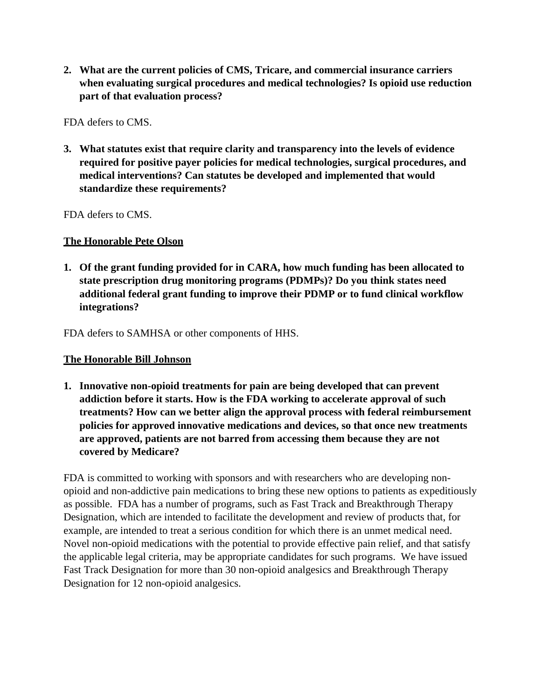**2. What are the current policies of CMS, Tricare, and commercial insurance carriers when evaluating surgical procedures and medical technologies? Is opioid use reduction part of that evaluation process?**

FDA defers to CMS.

**3. What statutes exist that require clarity and transparency into the levels of evidence required for positive payer policies for medical technologies, surgical procedures, and medical interventions? Can statutes be developed and implemented that would standardize these requirements?**

FDA defers to CMS.

#### **The Honorable Pete Olson**

**1. Of the grant funding provided for in CARA, how much funding has been allocated to state prescription drug monitoring programs (PDMPs)? Do you think states need additional federal grant funding to improve their PDMP or to fund clinical workflow integrations?**

FDA defers to SAMHSA or other components of HHS.

#### **The Honorable Bill Johnson**

**1. Innovative non-opioid treatments for pain are being developed that can prevent addiction before it starts. How is the FDA working to accelerate approval of such treatments? How can we better align the approval process with federal reimbursement policies for approved innovative medications and devices, so that once new treatments are approved, patients are not barred from accessing them because they are not covered by Medicare?**

FDA is committed to working with sponsors and with researchers who are developing nonopioid and non-addictive pain medications to bring these new options to patients as expeditiously as possible. FDA has a number of programs, such as Fast Track and Breakthrough Therapy Designation, which are intended to facilitate the development and review of products that, for example, are intended to treat a serious condition for which there is an unmet medical need. Novel non-opioid medications with the potential to provide effective pain relief, and that satisfy the applicable legal criteria, may be appropriate candidates for such programs. We have issued Fast Track Designation for more than 30 non-opioid analgesics and Breakthrough Therapy Designation for 12 non-opioid analgesics.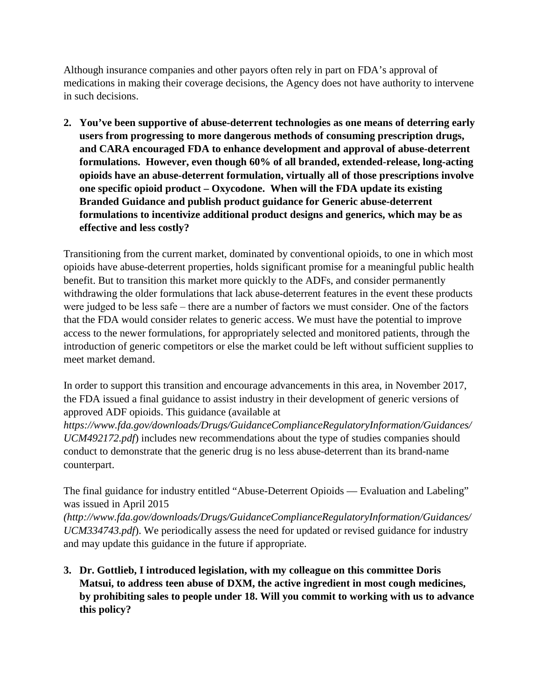Although insurance companies and other payors often rely in part on FDA's approval of medications in making their coverage decisions, the Agency does not have authority to intervene in such decisions.

**2. You've been supportive of abuse-deterrent technologies as one means of deterring early users from progressing to more dangerous methods of consuming prescription drugs, and CARA encouraged FDA to enhance development and approval of abuse-deterrent formulations. However, even though 60% of all branded, extended-release, long-acting opioids have an abuse-deterrent formulation, virtually all of those prescriptions involve one specific opioid product – Oxycodone. When will the FDA update its existing Branded Guidance and publish product guidance for Generic abuse-deterrent formulations to incentivize additional product designs and generics, which may be as effective and less costly?**

Transitioning from the current market, dominated by conventional opioids, to one in which most opioids have abuse-deterrent properties, holds significant promise for a meaningful public health benefit. But to transition this market more quickly to the ADFs, and consider permanently withdrawing the older formulations that lack abuse-deterrent features in the event these products were judged to be less safe – there are a number of factors we must consider. One of the factors that the FDA would consider relates to generic access. We must have the potential to improve access to the newer formulations, for appropriately selected and monitored patients, through the introduction of generic competitors or else the market could be left without sufficient supplies to meet market demand.

In order to support this transition and encourage advancements in this area, in November 2017, the FDA issued a final guidance to assist industry in their development of generic versions of approved ADF opioids. This guidance (available at

*[https://www.fda.gov/downloads/Drugs/GuidanceComplianceRegulatoryInformation/Guidances/](https://www.fda.gov/downloads/Drugs/GuidanceComplianceRegulatoryInformation/Guidances/UCM492172.pdf) [UCM492172.pdf](https://www.fda.gov/downloads/Drugs/GuidanceComplianceRegulatoryInformation/Guidances/UCM492172.pdf)*) includes new recommendations about the type of studies companies should conduct to demonstrate that the generic drug is no less abuse-deterrent than its brand-name counterpart.

The final guidance for industry entitled "Abuse-Deterrent Opioids — Evaluation and Labeling" was issued in April 2015

*[\(http://www.fda.gov/downloads/Drugs/GuidanceComplianceRegulatoryInformation/Guidances/](http://www.fda.gov/downloads/Drugs/GuidanceComplianceRegulatoryInformation/Guidances/UCM334743.pdf) [UCM334743.pdf](http://www.fda.gov/downloads/Drugs/GuidanceComplianceRegulatoryInformation/Guidances/UCM334743.pdf)*). We periodically assess the need for updated or revised guidance for industry and may update this guidance in the future if appropriate.

**3. Dr. Gottlieb, I introduced legislation, with my colleague on this committee Doris Matsui, to address teen abuse of DXM, the active ingredient in most cough medicines, by prohibiting sales to people under 18. Will you commit to working with us to advance this policy?**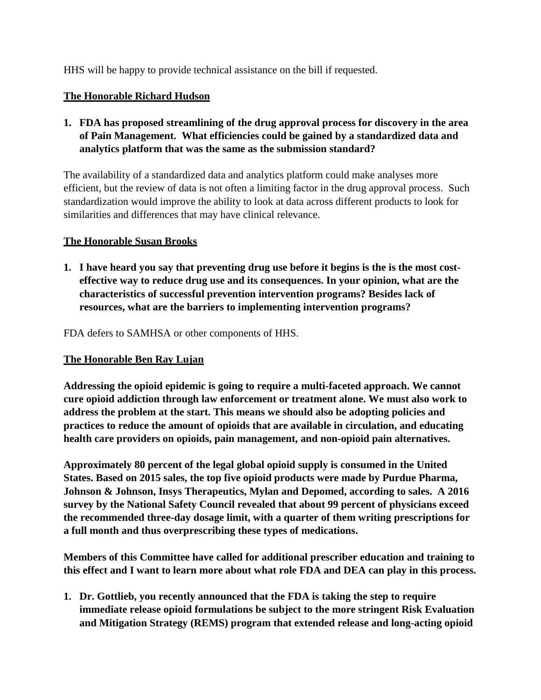HHS will be happy to provide technical assistance on the bill if requested.

#### **The Honorable Richard Hudson**

**1. FDA has proposed streamlining of the drug approval process for discovery in the area of Pain Management. What efficiencies could be gained by a standardized data and analytics platform that was the same as the submission standard?**

The availability of a standardized data and analytics platform could make analyses more efficient, but the review of data is not often a limiting factor in the drug approval process. Such standardization would improve the ability to look at data across different products to look for similarities and differences that may have clinical relevance.

#### **The Honorable Susan Brooks**

**1. I have heard you say that preventing drug use before it begins is the is the most costeffective way to reduce drug use and its consequences. In your opinion, what are the characteristics of successful prevention intervention programs? Besides lack of resources, what are the barriers to implementing intervention programs?**

#### FDA defers to SAMHSA or other components of HHS.

#### **The Honorable Ben Ray Lujan**

**Addressing the opioid epidemic is going to require a multi-faceted approach. We cannot cure opioid addiction through law enforcement or treatment alone. We must also work to address the problem at the start. This means we should also be adopting policies and practices to reduce the amount of opioids that are available in circulation, and educating health care providers on opioids, pain management, and non-opioid pain alternatives.**

**Approximately 80 percent of the legal global opioid supply is consumed in the United States. Based on 2015 sales, the top five opioid products were made by Purdue Pharma, Johnson & Johnson, Insys Therapeutics, Mylan and Depomed, according to sales. A 2016 survey by the National Safety Council revealed that about 99 percent of physicians exceed the recommended three-day dosage limit, with a quarter of them writing prescriptions for a full month and thus overprescribing these types of medications.**

**Members of this Committee have called for additional prescriber education and training to this effect and I want to learn more about what role FDA and DEA can play in this process.**

**1. Dr. Gottlieb, you recently announced that the FDA is taking the step to require immediate release opioid formulations be subject to the more stringent Risk Evaluation and Mitigation Strategy (REMS) program that extended release and long-acting opioid**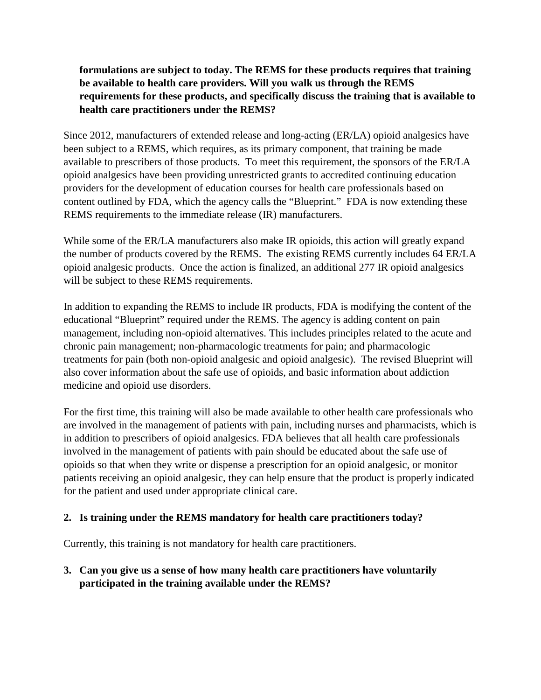# **formulations are subject to today. The REMS for these products requires that training be available to health care providers. Will you walk us through the REMS requirements for these products, and specifically discuss the training that is available to health care practitioners under the REMS?**

Since 2012, manufacturers of extended release and long-acting (ER/LA) opioid analgesics have been subject to a REMS, which requires, as its primary component, that training be made available to prescribers of those products. To meet this requirement, the sponsors of the ER/LA opioid analgesics have been providing unrestricted grants to accredited continuing education providers for the development of education courses for health care professionals based on content outlined by FDA, which the agency calls the "Blueprint." FDA is now extending these REMS requirements to the immediate release (IR) manufacturers.

While some of the ER/LA manufacturers also make IR opioids, this action will greatly expand the number of products covered by the REMS. The existing REMS currently includes 64 ER/LA opioid analgesic products. Once the action is finalized, an additional 277 IR opioid analgesics will be subject to these REMS requirements.

In addition to expanding the REMS to include IR products, FDA is modifying the content of the educational "Blueprint" required under the REMS. The agency is adding content on pain management, including non-opioid alternatives. This includes principles related to the acute and chronic pain management; non-pharmacologic treatments for pain; and pharmacologic treatments for pain (both non-opioid analgesic and opioid analgesic). The revised Blueprint will also cover information about the safe use of opioids, and basic information about addiction medicine and opioid use disorders.

For the first time, this training will also be made available to other health care professionals who are involved in the management of patients with pain, including nurses and pharmacists, which is in addition to prescribers of opioid analgesics. FDA believes that all health care professionals involved in the management of patients with pain should be educated about the safe use of opioids so that when they write or dispense a prescription for an opioid analgesic, or monitor patients receiving an opioid analgesic, they can help ensure that the product is properly indicated for the patient and used under appropriate clinical care.

# **2. Is training under the REMS mandatory for health care practitioners today?**

Currently, this training is not mandatory for health care practitioners.

**3. Can you give us a sense of how many health care practitioners have voluntarily participated in the training available under the REMS?**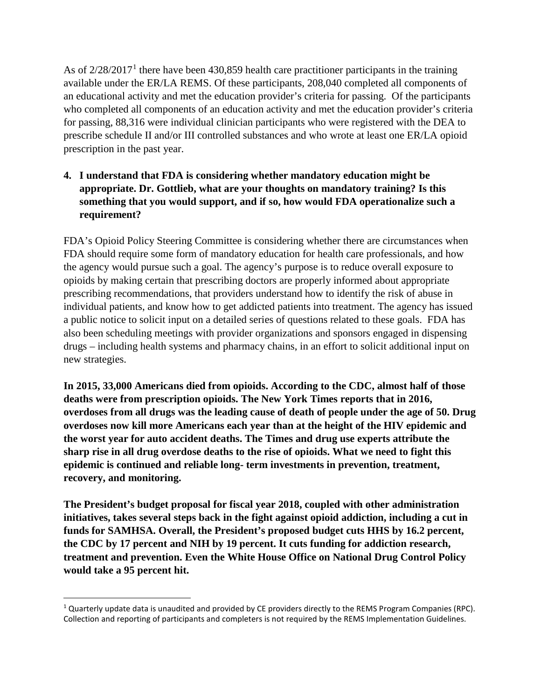As of  $2/28/2017<sup>1</sup>$  $2/28/2017<sup>1</sup>$  $2/28/2017<sup>1</sup>$  there have been 430,859 health care practitioner participants in the training available under the ER/LA REMS. Of these participants, 208,040 completed all components of an educational activity and met the education provider's criteria for passing. Of the participants who completed all components of an education activity and met the education provider's criteria for passing, 88,316 were individual clinician participants who were registered with the DEA to prescribe schedule II and/or III controlled substances and who wrote at least one ER/LA opioid prescription in the past year.

# **4. I understand that FDA is considering whether mandatory education might be appropriate. Dr. Gottlieb, what are your thoughts on mandatory training? Is this something that you would support, and if so, how would FDA operationalize such a requirement?**

FDA's Opioid Policy Steering Committee is considering whether there are circumstances when FDA should require some form of mandatory education for health care professionals, and how the agency would pursue such a goal. The agency's purpose is to reduce overall exposure to opioids by making certain that prescribing doctors are properly informed about appropriate prescribing recommendations, that providers understand how to identify the risk of abuse in individual patients, and know how to get addicted patients into treatment. The agency has issued a public notice to solicit input on a detailed series of questions related to these goals. FDA has also been scheduling meetings with provider organizations and sponsors engaged in dispensing drugs – including health systems and pharmacy chains, in an effort to solicit additional input on new strategies.

**In 2015, 33,000 Americans died from opioids. According to the CDC, almost half of those deaths were from prescription opioids. The New York Times reports that in 2016, overdoses from all drugs was the leading cause of death of people under the age of 50. Drug overdoses now kill more Americans each year than at the height of the HIV epidemic and the worst year for auto accident deaths. The Times and drug use experts attribute the sharp rise in all drug overdose deaths to the rise of opioids. What we need to fight this epidemic is continued and reliable long- term investments in prevention, treatment, recovery, and monitoring.**

**The President's budget proposal for fiscal year 2018, coupled with other administration initiatives, takes several steps back in the fight against opioid addiction, including a cut in funds for SAMHSA. Overall, the President's proposed budget cuts HHS by 16.2 percent, the CDC by 17 percent and NIH by 19 percent. It cuts funding for addiction research, treatment and prevention. Even the White House Office on National Drug Control Policy would take a 95 percent hit.**

<span id="page-14-0"></span><sup>&</sup>lt;sup>1</sup> Quarterly update data is unaudited and provided by CE providers directly to the REMS Program Companies (RPC). Collection and reporting of participants and completers is not required by the REMS Implementation Guidelines.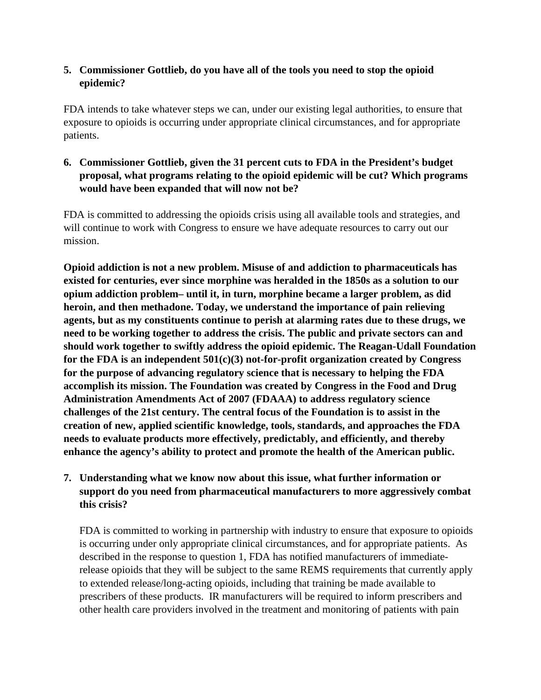## **5. Commissioner Gottlieb, do you have all of the tools you need to stop the opioid epidemic?**

FDA intends to take whatever steps we can, under our existing legal authorities, to ensure that exposure to opioids is occurring under appropriate clinical circumstances, and for appropriate patients.

# **6. Commissioner Gottlieb, given the 31 percent cuts to FDA in the President's budget proposal, what programs relating to the opioid epidemic will be cut? Which programs would have been expanded that will now not be?**

FDA is committed to addressing the opioids crisis using all available tools and strategies, and will continue to work with Congress to ensure we have adequate resources to carry out our mission.

**Opioid addiction is not a new problem. Misuse of and addiction to pharmaceuticals has existed for centuries, ever since morphine was heralded in the 1850s as a solution to our opium addiction problem– until it, in turn, morphine became a larger problem, as did heroin, and then methadone. Today, we understand the importance of pain relieving agents, but as my constituents continue to perish at alarming rates due to these drugs, we need to be working together to address the crisis. The public and private sectors can and should work together to swiftly address the opioid epidemic. The Reagan-Udall Foundation for the FDA is an independent 501(c)(3) not-for-profit organization created by Congress for the purpose of advancing regulatory science that is necessary to helping the FDA accomplish its mission. The Foundation was created by Congress in the Food and Drug Administration Amendments Act of 2007 (FDAAA) to address regulatory science challenges of the 21st century. The central focus of the Foundation is to assist in the creation of new, applied scientific knowledge, tools, standards, and approaches the FDA needs to evaluate products more effectively, predictably, and efficiently, and thereby enhance the agency's ability to protect and promote the health of the American public.**

# **7. Understanding what we know now about this issue, what further information or support do you need from pharmaceutical manufacturers to more aggressively combat this crisis?**

FDA is committed to working in partnership with industry to ensure that exposure to opioids is occurring under only appropriate clinical circumstances, and for appropriate patients. As described in the response to question 1, FDA has notified manufacturers of immediaterelease opioids that they will be subject to the same REMS requirements that currently apply to extended release/long-acting opioids, including that training be made available to prescribers of these products. IR manufacturers will be required to inform prescribers and other health care providers involved in the treatment and monitoring of patients with pain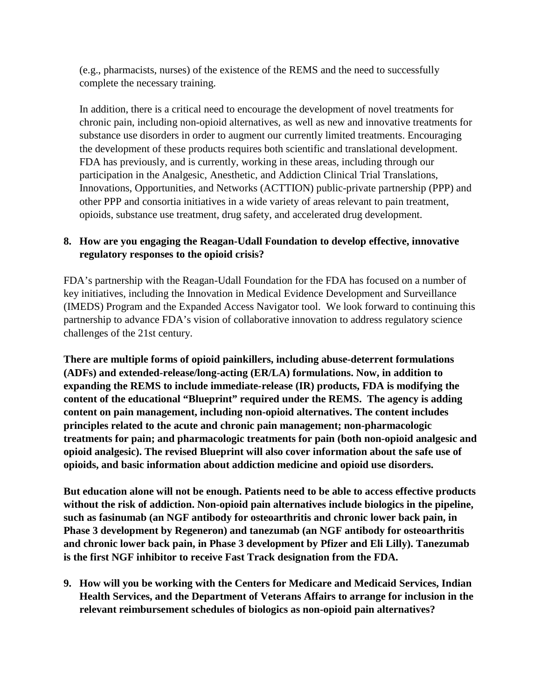(e.g., pharmacists, nurses) of the existence of the REMS and the need to successfully complete the necessary training.

In addition, there is a critical need to encourage the development of novel treatments for chronic pain, including non-opioid alternatives, as well as new and innovative treatments for substance use disorders in order to augment our currently limited treatments. Encouraging the development of these products requires both scientific and translational development. FDA has previously, and is currently, working in these areas, including through our participation in the Analgesic, Anesthetic, and Addiction Clinical Trial Translations, Innovations, Opportunities, and Networks (ACTTION) public-private partnership (PPP) and other PPP and consortia initiatives in a wide variety of areas relevant to pain treatment, opioids, substance use treatment, drug safety, and accelerated drug development.

# **8. How are you engaging the Reagan-Udall Foundation to develop effective, innovative regulatory responses to the opioid crisis?**

FDA's partnership with the Reagan-Udall Foundation for the FDA has focused on a number of key initiatives, including the Innovation in Medical Evidence Development and Surveillance (IMEDS) Program and the Expanded Access Navigator tool. We look forward to continuing this partnership to advance FDA's vision of collaborative innovation to address regulatory science challenges of the 21st century.

**There are multiple forms of opioid painkillers, including abuse-deterrent formulations (ADFs) and extended-release/long-acting (ER/LA) formulations. Now, in addition to expanding the REMS to include immediate-release (IR) products, FDA is modifying the content of the educational "Blueprint" required under the REMS. The agency is adding content on pain management, including non-opioid alternatives. The content includes principles related to the acute and chronic pain management; non-pharmacologic treatments for pain; and pharmacologic treatments for pain (both non-opioid analgesic and opioid analgesic). The revised Blueprint will also cover information about the safe use of opioids, and basic information about addiction medicine and opioid use disorders.**

**But education alone will not be enough. Patients need to be able to access effective products without the risk of addiction. Non-opioid pain alternatives include biologics in the pipeline, such as fasinumab (an NGF antibody for osteoarthritis and chronic lower back pain, in Phase 3 development by Regeneron) and tanezumab (an NGF antibody for osteoarthritis and chronic lower back pain, in Phase 3 development by Pfizer and Eli Lilly). Tanezumab is the first NGF inhibitor to receive Fast Track designation from the FDA.**

**9. How will you be working with the Centers for Medicare and Medicaid Services, Indian Health Services, and the Department of Veterans Affairs to arrange for inclusion in the relevant reimbursement schedules of biologics as non-opioid pain alternatives?**